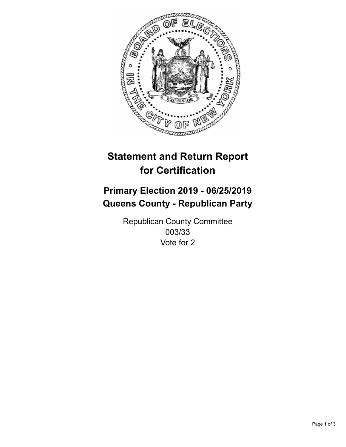

## **Statement and Return Report for Certification**

## **Primary Election 2019 - 06/25/2019 Queens County - Republican Party**

Republican County Committee 003/33 Vote for 2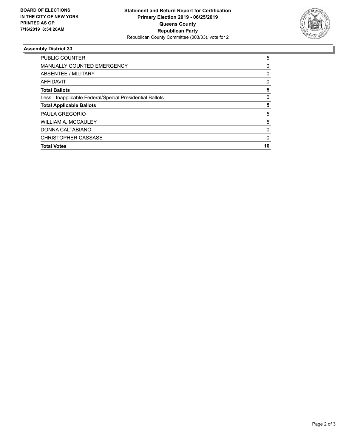

## **Assembly District 33**

| <b>PUBLIC COUNTER</b>                                    | 5        |
|----------------------------------------------------------|----------|
| <b>MANUALLY COUNTED EMERGENCY</b>                        | 0        |
| ABSENTEE / MILITARY                                      | 0        |
| AFFIDAVIT                                                | 0        |
| <b>Total Ballots</b>                                     | 5        |
| Less - Inapplicable Federal/Special Presidential Ballots | $\Omega$ |
| <b>Total Applicable Ballots</b>                          | 5        |
| <b>PAULA GREGORIO</b>                                    | 5        |
| <b>WILLIAM A. MCCAULEY</b>                               | 5        |
| DONNA CALTABIANO                                         | 0        |
| <b>CHRISTOPHER CASSASE</b>                               | 0        |
| <b>Total Votes</b>                                       | 10       |